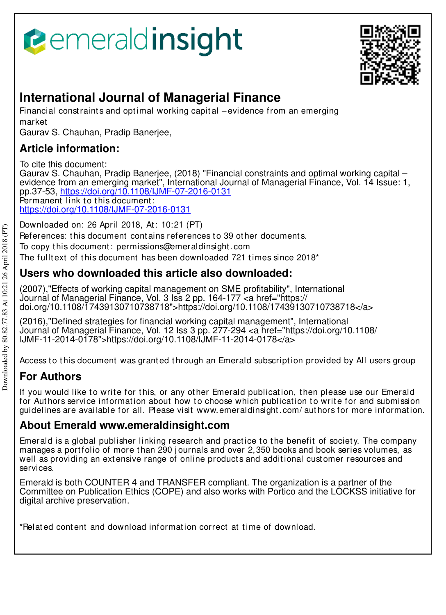# **B**emeraldinsight



## **International Journal of Managerial Finance**

Financial constraints and optimal working capital  $-e$  vidence from an emerging market

Gaurav S. Chauhan, Pradip Banerjee,

## **Article information:**

To cite this document:

Gaurav S. Chauhan, Pradip Banerjee, (2018) "Financial constraints and optimal working capital – evidence from an emerging market", International Journal of Managerial Finance, Vol. 14 Issue: 1, pp.37-53, https://doi.org/10.1108/IJMF-07-2016-0131 Permanent link to this document:

https://doi.org/10.1108/IJMF-07-2016-0131

Downloaded on: 26 April 2018, At : 10:21 (PT)

References: this document contains references to 39 other documents.

To copy t his document : permissions@emeraldinsight .com

The fulltext of this document has been downloaded  $721$  times since  $2018<sup>*</sup>$ 

## **Users who downloaded this article also downloaded:**

(2007),"Effects of working capital management on SME profitability", International Journal of Managerial Finance, Vol. 3 Iss 2 pp. 164-177 <a href="https:// doi.org/10.1108/17439130710738718">https://doi.org/10.1108/17439130710738718</a>

(2016),"Defined strategies for financial working capital management", International Journal of Managerial Finance, Vol. 12 Iss 3 pp. 277-294 <a href="https://doi.org/10.1108/ IJMF-11-2014-0178">https://doi.org/10.1108/IJMF-11-2014-0178</a>

Access to this document was granted through an Emerald subscription provided by All users group

## **For Authors**

If you would like to write for this, or any other Emerald publication, then please use our Emerald for Authors service information about how to choose which publication to write for and submission guidelines are available for all. Please visit www.emeraldinsight .com/ aut hors for more informat ion.

## **About Emerald www.emeraldinsight.com**

Emerald is a global publisher linking research and practice to the benefit of society. The company manages a portfolio of more than 290 journals and over 2,350 books and book series volumes, as well as providing an extensive range of online products and additional customer resources and services.

Emerald is both COUNTER 4 and TRANSFER compliant. The organization is a partner of the Committee on Publication Ethics (COPE) and also works with Portico and the LOCKSS initiative for digital archive preservation.

\*Relat ed cont ent and download informat ion correct at t ime of download.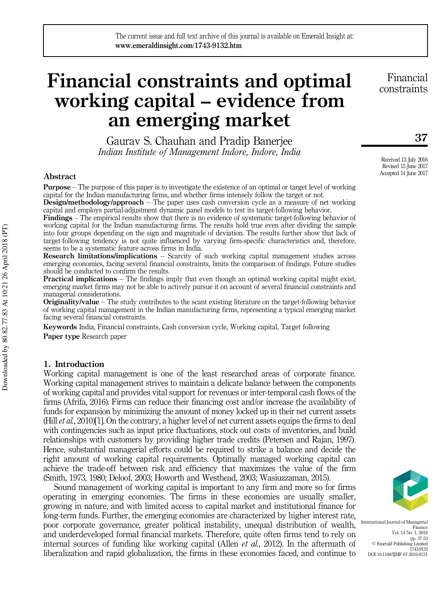## Financial constraints and optimal working capital – evidence from an emerging market

Gaurav S. Chauhan and Pradip Banerjee Indian Institute of Management Indore, Indore, India

#### Abstract

Purpose – The purpose of this paper is to investigate the existence of an optimal or target level of working capital for the Indian manufacturing firms, and whether firms intensely follow the target or not.

**Design/methodology/approach** – The paper uses cash conversion cycle as a measure of net working capital and employs partial-adjustment dynamic panel models to test its target-following behavior.

Findings – The empirical results show that there is no evidence of systematic target-following behavior of working capital for the Indian manufacturing firms. The results hold true even after dividing the sample into four groups depending on the sign and magnitude of deviation. The results further show that lack of target-following tendency is not quite influenced by varying firm-specific characteristics and, therefore, seems to be a systematic feature across firms in India.

Research limitations/implications – Scarcity of such working capital management studies across emerging economies, facing several financial constraints, limits the comparison of findings. Future studies should be conducted to confirm the results.

Practical implications – The findings imply that even though an optimal working capital might exist, emerging market firms may not be able to actively pursue it on account of several financial constraints and managerial considerations.

**Originality/value** – The study contributes to the scant existing literature on the target-following behavior of working capital management in the Indian manufacturing firms, representing a typical emerging market facing several financial constraints.

Keywords India, Financial constraints, Cash conversion cycle, Working capital, Target following Paper type Research paper

#### 1. Introduction

Working capital management is one of the least researched areas of corporate finance. Working capital management strives to maintain a delicate balance between the components of working capital and provides vital support for revenues or inter-temporal cash flows of the firms (Afrifa, 2016). Firms can reduce their financing cost and/or increase the availability of funds for expansion by minimizing the amount of money locked up in their net current assets (Hill *et al.*, 2010)[1]. On the contrary, a higher level of net current assets equips the firms to deal with contingencies such as input price fluctuations, stock out costs of inventories, and build relationships with customers by providing higher trade credits (Petersen and Rajan, 1997). Hence, substantial managerial efforts could be required to strike a balance and decide the right amount of working capital requirements. Optimally managed working capital can achieve the trade-off between risk and efficiency that maximizes the value of the firm (Smith, 1973, 1980; Deloof, 2003; Howorth and Westhead, 2003; Wasiuzzaman, 2015).

Sound management of working capital is important to any firm and more so for firms operating in emerging economies. The firms in these economies are usually smaller, growing in nature, and with limited access to capital market and institutional finance for long-term funds. Further, the emerging economies are characterized by higher interest rate, poor corporate governance, greater political instability, unequal distribution of wealth, and underdeveloped formal financial markets. Therefore, quite often firms tend to rely on internal sources of funding like working capital (Allen *et al.*, 2012). In the aftermath of liberalization and rapid globalization, the firms in these economies faced, and continue to

International Journal of Managerial Finance Vol. 14 No. 1, 2018 pp. 37-53 © Emerald Publishing Limited 1743-9132 DOI 10.1108/IJMF-07-2016-0131

Received 13 July 2016 Revised 13 June 2017 Accepted 14 June 2017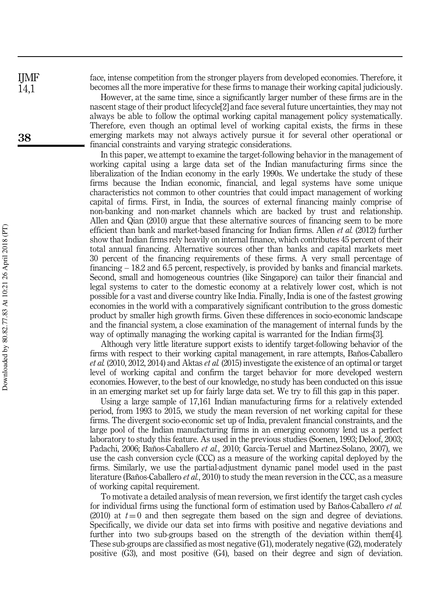face, intense competition from the stronger players from developed economies. Therefore, it becomes all the more imperative for these firms to manage their working capital judiciously.

However, at the same time, since a significantly larger number of these firms are in the nascent stage of their product lifecycle[2] and face several future uncertainties, they may not always be able to follow the optimal working capital management policy systematically. Therefore, even though an optimal level of working capital exists, the firms in these emerging markets may not always actively pursue it for several other operational or financial constraints and varying strategic considerations.

In this paper, we attempt to examine the target-following behavior in the management of working capital using a large data set of the Indian manufacturing firms since the liberalization of the Indian economy in the early 1990s. We undertake the study of these firms because the Indian economic, financial, and legal systems have some unique characteristics not common to other countries that could impact management of working capital of firms. First, in India, the sources of external financing mainly comprise of non-banking and non-market channels which are backed by trust and relationship. Allen and Qian (2010) argue that these alternative sources of financing seem to be more efficient than bank and market-based financing for Indian firms. Allen et al. (2012) further show that Indian firms rely heavily on internal finance, which contributes 45 percent of their total annual financing. Alternative sources other than banks and capital markets meet 30 percent of the financing requirements of these firms. A very small percentage of financing – 18.2 and 6.5 percent, respectively, is provided by banks and financial markets. Second, small and homogeneous countries (like Singapore) can tailor their financial and legal systems to cater to the domestic economy at a relatively lower cost, which is not possible for a vast and diverse country like India. Finally, India is one of the fastest growing economies in the world with a comparatively significant contribution to the gross domestic product by smaller high growth firms. Given these differences in socio-economic landscape and the financial system, a close examination of the management of internal funds by the way of optimally managing the working capital is warranted for the Indian firms[3].

Although very little literature support exists to identify target-following behavior of the firms with respect to their working capital management, in rare attempts, Baños-Caballero et al. (2010, 2012, 2014) and Aktas et al. (2015) investigate the existence of an optimal or target level of working capital and confirm the target behavior for more developed western economies. However, to the best of our knowledge, no study has been conducted on this issue in an emerging market set up for fairly large data set. We try to fill this gap in this paper.

Using a large sample of 17,161 Indian manufacturing firms for a relatively extended period, from 1993 to 2015, we study the mean reversion of net working capital for these firms. The divergent socio-economic set up of India, prevalent financial constraints, and the large pool of the Indian manufacturing firms in an emerging economy lend us a perfect laboratory to study this feature. As used in the previous studies (Soenen, 1993; Deloof, 2003; Padachi, 2006; Baños-Caballero et al., 2010; Garcia-Teruel and Martinez-Solano, 2007), we use the cash conversion cycle (CCC) as a measure of the working capital deployed by the firms. Similarly, we use the partial-adjustment dynamic panel model used in the past literature (Baños-Caballero *et al.*, 2010) to study the mean reversion in the CCC, as a measure of working capital requirement.

To motivate a detailed analysis of mean reversion, we first identify the target cash cycles for individual firms using the functional form of estimation used by Baños-Caballero et al. (2010) at  $t = 0$  and then segregate them based on the sign and degree of deviations. Specifically, we divide our data set into firms with positive and negative deviations and further into two sub-groups based on the strength of the deviation within them[4]. These sub-groups are classified as most negative (G1), moderately negative (G2), moderately positive (G3), and most positive (G4), based on their degree and sign of deviation.

IJMF 14,1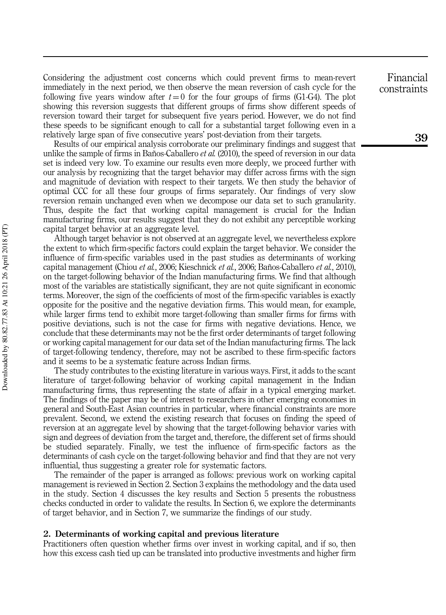Considering the adjustment cost concerns which could prevent firms to mean-revert immediately in the next period, we then observe the mean reversion of cash cycle for the following five years window after  $t = 0$  for the four groups of firms (G1-G4). The plot showing this reversion suggests that different groups of firms show different speeds of reversion toward their target for subsequent five years period. However, we do not find these speeds to be significant enough to call for a substantial target following even in a relatively large span of five consecutive years' post-deviation from their targets.

Results of our empirical analysis corroborate our preliminary findings and suggest that unlike the sample of firms in Baños-Caballero *et al.* (2010), the speed of reversion in our data set is indeed very low. To examine our results even more deeply, we proceed further with our analysis by recognizing that the target behavior may differ across firms with the sign and magnitude of deviation with respect to their targets. We then study the behavior of optimal CCC for all these four groups of firms separately. Our findings of very slow reversion remain unchanged even when we decompose our data set to such granularity. Thus, despite the fact that working capital management is crucial for the Indian manufacturing firms, our results suggest that they do not exhibit any perceptible working capital target behavior at an aggregate level.

Although target behavior is not observed at an aggregate level, we nevertheless explore the extent to which firm-specific factors could explain the target behavior. We consider the influence of firm-specific variables used in the past studies as determinants of working capital management (Chiou et al., 2006; Kieschnick et al., 2006; Baños-Caballero et al., 2010), on the target-following behavior of the Indian manufacturing firms. We find that although most of the variables are statistically significant, they are not quite significant in economic terms. Moreover, the sign of the coefficients of most of the firm-specific variables is exactly opposite for the positive and the negative deviation firms. This would mean, for example, while larger firms tend to exhibit more target-following than smaller firms for firms with positive deviations, such is not the case for firms with negative deviations. Hence, we conclude that these determinants may not be the first order determinants of target following or working capital management for our data set of the Indian manufacturing firms. The lack of target-following tendency, therefore, may not be ascribed to these firm-specific factors and it seems to be a systematic feature across Indian firms.

The study contributes to the existing literature in various ways. First, it adds to the scant literature of target-following behavior of working capital management in the Indian manufacturing firms, thus representing the state of affair in a typical emerging market. The findings of the paper may be of interest to researchers in other emerging economies in general and South-East Asian countries in particular, where financial constraints are more prevalent. Second, we extend the existing research that focuses on finding the speed of reversion at an aggregate level by showing that the target-following behavior varies with sign and degrees of deviation from the target and, therefore, the different set of firms should be studied separately. Finally, we test the influence of firm-specific factors as the determinants of cash cycle on the target-following behavior and find that they are not very influential, thus suggesting a greater role for systematic factors.

The remainder of the paper is arranged as follows: previous work on working capital management is reviewed in Section 2. Section 3 explains the methodology and the data used in the study. Section 4 discusses the key results and Section 5 presents the robustness checks conducted in order to validate the results. In Section 6, we explore the determinants of target behavior, and in Section 7, we summarize the findings of our study.

#### 2. Determinants of working capital and previous literature

Practitioners often question whether firms over invest in working capital, and if so, then how this excess cash tied up can be translated into productive investments and higher firm

Financial constraints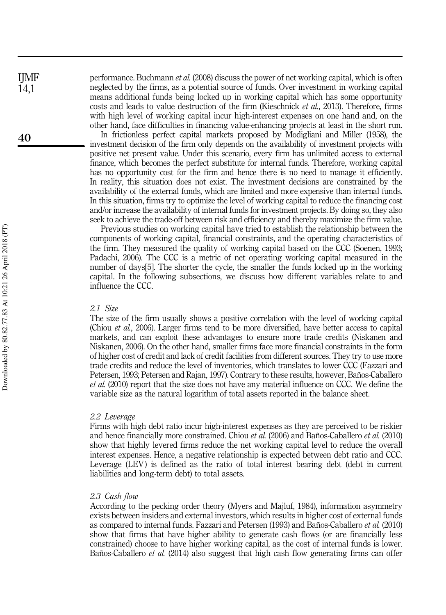performance. Buchmann et al. (2008) discuss the power of net working capital, which is often neglected by the firms, as a potential source of funds. Over investment in working capital means additional funds being locked up in working capital which has some opportunity costs and leads to value destruction of the firm (Kieschnick *et al.*, 2013). Therefore, firms with high level of working capital incur high-interest expenses on one hand and, on the other hand, face difficulties in financing value-enhancing projects at least in the short run.

In frictionless perfect capital markets proposed by Modigliani and Miller (1958), the investment decision of the firm only depends on the availability of investment projects with positive net present value. Under this scenario, every firm has unlimited access to external finance, which becomes the perfect substitute for internal funds. Therefore, working capital has no opportunity cost for the firm and hence there is no need to manage it efficiently. In reality, this situation does not exist. The investment decisions are constrained by the availability of the external funds, which are limited and more expensive than internal funds. In this situation, firms try to optimize the level of working capital to reduce the financing cost and/or increase the availability of internal funds for investment projects. By doing so, they also seek to achieve the trade-off between risk and efficiency and thereby maximize the firm value.

Previous studies on working capital have tried to establish the relationship between the components of working capital, financial constraints, and the operating characteristics of the firm. They measured the quality of working capital based on the CCC (Soenen, 1993; Padachi, 2006). The CCC is a metric of net operating working capital measured in the number of days[5]. The shorter the cycle, the smaller the funds locked up in the working capital. In the following subsections, we discuss how different variables relate to and influence the CCC.

#### 2.1 Size

The size of the firm usually shows a positive correlation with the level of working capital (Chiou et al., 2006). Larger firms tend to be more diversified, have better access to capital markets, and can exploit these advantages to ensure more trade credits (Niskanen and Niskanen, 2006). On the other hand, smaller firms face more financial constraints in the form of higher cost of credit and lack of credit facilities from different sources. They try to use more trade credits and reduce the level of inventories, which translates to lower CCC (Fazzari and Petersen, 1993; Petersen and Rajan, 1997). Contrary to these results, however, Baños-Caballero et al. (2010) report that the size does not have any material influence on CCC. We define the variable size as the natural logarithm of total assets reported in the balance sheet.

#### 2.2 Leverage

Firms with high debt ratio incur high-interest expenses as they are perceived to be riskier and hence financially more constrained. Chiou et al. (2006) and Baños-Caballero et al. (2010) show that highly levered firms reduce the net working capital level to reduce the overall interest expenses. Hence, a negative relationship is expected between debt ratio and CCC. Leverage (LEV) is defined as the ratio of total interest bearing debt (debt in current liabilities and long-term debt) to total assets.

#### 2.3 Cash flow

According to the pecking order theory (Myers and Majluf, 1984), information asymmetry exists between insiders and external investors, which results in higher cost of external funds as compared to internal funds. Fazzari and Petersen (1993) and Baños-Caballero et al. (2010) show that firms that have higher ability to generate cash flows (or are financially less constrained) choose to have higher working capital, as the cost of internal funds is lower. Baños-Caballero et al. (2014) also suggest that high cash flow generating firms can offer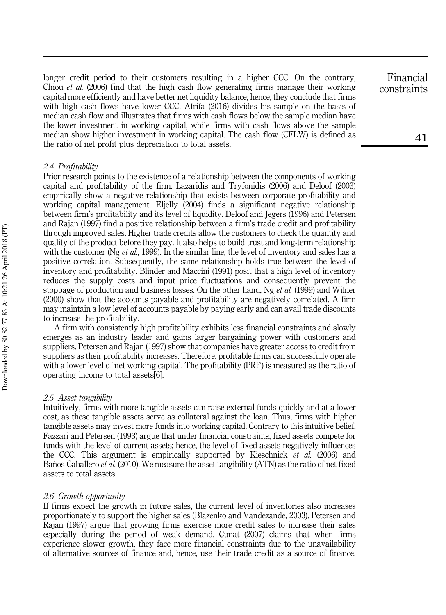longer credit period to their customers resulting in a higher CCC. On the contrary, Chiou *et al.* (2006) find that the high cash flow generating firms manage their working capital more efficiently and have better net liquidity balance; hence, they conclude that firms with high cash flows have lower CCC. Afrifa (2016) divides his sample on the basis of median cash flow and illustrates that firms with cash flows below the sample median have the lower investment in working capital, while firms with cash flows above the sample median show higher investment in working capital. The cash flow (CFLW) is defined as the ratio of net profit plus depreciation to total assets.

#### 2.4 Profitability

Prior research points to the existence of a relationship between the components of working capital and profitability of the firm. Lazaridis and Tryfonidis (2006) and Deloof (2003) empirically show a negative relationship that exists between corporate profitability and working capital management. Eljelly (2004) finds a significant negative relationship between firm's profitability and its level of liquidity. Deloof and Jegers (1996) and Petersen and Rajan (1997) find a positive relationship between a firm's trade credit and profitability through improved sales. Higher trade credits allow the customers to check the quantity and quality of the product before they pay. It also helps to build trust and long-term relationship with the customer (Ng *et al.*, 1999). In the similar line, the level of inventory and sales has a positive correlation. Subsequently, the same relationship holds true between the level of inventory and profitability. Blinder and Maccini (1991) posit that a high level of inventory reduces the supply costs and input price fluctuations and consequently prevent the stoppage of production and business losses. On the other hand, Ng et al. (1999) and Wilner (2000) show that the accounts payable and profitability are negatively correlated. A firm may maintain a low level of accounts payable by paying early and can avail trade discounts to increase the profitability.

A firm with consistently high profitability exhibits less financial constraints and slowly emerges as an industry leader and gains larger bargaining power with customers and suppliers. Petersen and Rajan (1997) show that companies have greater access to credit from suppliers as their profitability increases. Therefore, profitable firms can successfully operate with a lower level of net working capital. The profitability (PRF) is measured as the ratio of operating income to total assets[6].

#### 2.5 Asset tangibility

Intuitively, firms with more tangible assets can raise external funds quickly and at a lower cost, as these tangible assets serve as collateral against the loan. Thus, firms with higher tangible assets may invest more funds into working capital. Contrary to this intuitive belief, Fazzari and Petersen (1993) argue that under financial constraints, fixed assets compete for funds with the level of current assets; hence, the level of fixed assets negatively influences the CCC. This argument is empirically supported by Kieschnick et al. (2006) and Baños-Caballero *et al.* (2010). We measure the asset tangibility (ATN) as the ratio of net fixed assets to total assets.

#### 2.6 Growth opportunity

If firms expect the growth in future sales, the current level of inventories also increases proportionately to support the higher sales (Blazenko and Vandezande, 2003). Petersen and Rajan (1997) argue that growing firms exercise more credit sales to increase their sales especially during the period of weak demand. Cunat (2007) claims that when firms experience slower growth, they face more financial constraints due to the unavailability of alternative sources of finance and, hence, use their trade credit as a source of finance.

Downloaded by 80.82.77.83 At 10:21 26 April 2018 (PT) Downloaded by 80.82.77.83 At 10:21 26 April 2018 (PT)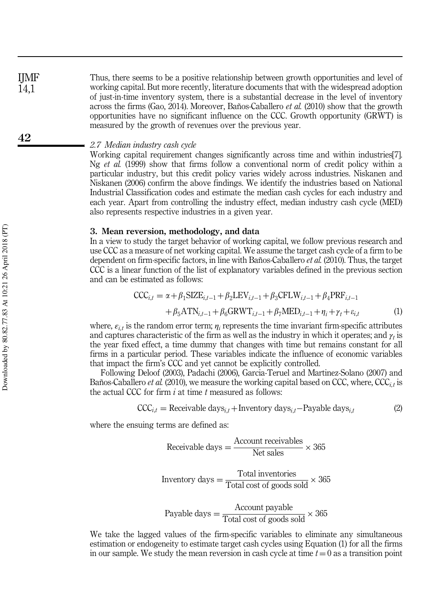Thus, there seems to be a positive relationship between growth opportunities and level of working capital. But more recently, literature documents that with the widespread adoption of just-in-time inventory system, there is a substantial decrease in the level of inventory across the firms (Gao, 2014). Moreover, Baños-Caballero et al. (2010) show that the growth opportunities have no significant influence on the CCC. Growth opportunity (GRWT) is measured by the growth of revenues over the previous year. IJMF 14,1

#### 2.7 Median industry cash cycle

Working capital requirement changes significantly across time and within industries[7]. Ng et al. (1999) show that firms follow a conventional norm of credit policy within a particular industry, but this credit policy varies widely across industries. Niskanen and Niskanen (2006) confirm the above findings. We identify the industries based on National Industrial Classification codes and estimate the median cash cycles for each industry and each year. Apart from controlling the industry effect, median industry cash cycle (MED) also represents respective industries in a given year.

#### 3. Mean reversion, methodology, and data

In a view to study the target behavior of working capital, we follow previous research and use CCC as a measure of net working capital. We assume the target cash cycle of a firm to be dependent on firm-specific factors, in line with Baños-Caballero et al. (2010). Thus, the target CCC is a linear function of the list of explanatory variables defined in the previous section and can be estimated as follows:

$$
CCC_{i,t} = \alpha + \beta_1 \text{SIZE}_{i,t-1} + \beta_2 \text{LEV}_{i,t-1} + \beta_3 \text{CFLW}_{i,t-1} + \beta_4 \text{PRF}_{i,t-1} + \beta_5 \text{ATN}_{i,t-1} + \beta_6 \text{GRWT}_{i,t-1} + \beta_7 \text{MED}_{i,t-1} + \eta_i + \gamma_t + \varepsilon_{i,t}
$$
 (1)

where,  $\varepsilon_{i,t}$  is the random error term;  $\eta_i$  represents the time invariant firm-specific attributes and captures characteristic of the firm as well as the industry in which it operates; and  $\gamma_t$  is the year fixed effect, a time dummy that changes with time but remains constant for all firms in a particular period. These variables indicate the influence of economic variables that impact the firm's CCC and yet cannot be explicitly controlled.

Following Deloof (2003), Padachi (2006), Garcia-Teruel and Martinez-Solano (2007) and Baños-Caballero et al. (2010), we measure the working capital based on CCC, where,  $\text{CCC}_{i,t}$  is the actual CCC for firm  $i$  at time  $t$  measured as follows:

$$
CCC_{i,t} = Receivervable days_{i,t} + Inventory days_{i,t} - Payable days_{i,t}
$$
 (2)

where the ensuing terms are defined as:

Receivable days = 
$$
\frac{\text{Account receivables}}{\text{Net sales}} \times 365
$$

$$
Inventory days = \frac{\text{Total inventories}}{\text{Total cost of goods sold}} \times 365
$$

Payable days = 
$$
\frac{\text{Account payable}}{\text{Total cost of goods sold}} \times 365
$$

We take the lagged values of the firm-specific variables to eliminate any simultaneous estimation or endogeneity to estimate target cash cycles using Equation (1) for all the firms in our sample. We study the mean reversion in cash cycle at time  $t = 0$  as a transition point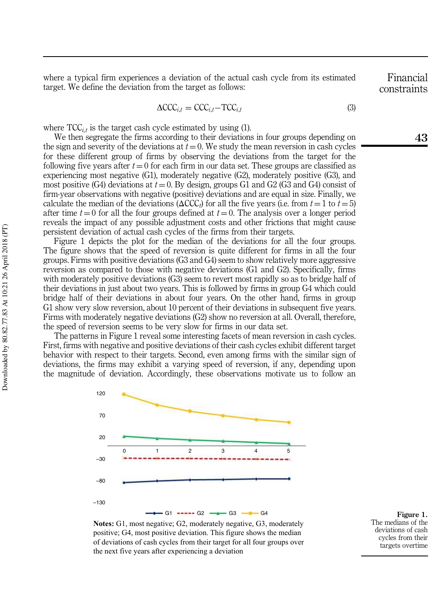where a typical firm experiences a deviation of the actual cash cycle from its estimated target. We define the deviation from the target as follows:

$$
\Delta CCC_{i,t} = CCC_{i,t} - TCC_{i,t}
$$
 (3)

where  $TCC_{i,t}$  is the target cash cycle estimated by using (1).

120

We then segregate the firms according to their deviations in four groups depending on the sign and severity of the deviations at  $t = 0$ . We study the mean reversion in cash cycles for these different group of firms by observing the deviations from the target for the following five years after  $t = 0$  for each firm in our data set. These groups are classified as experiencing most negative (G1), moderately negative (G2), moderately positive (G3), and most positive (G4) deviations at  $t = 0$ . By design, groups G1 and G2 (G3 and G4) consist of firm-year observations with negative (positive) deviations and are equal in size. Finally, we calculate the median of the deviations  $(\Delta CCC_t)$  for all the five years (i.e. from  $t = 1$  to  $t = 5$ ) after time  $t = 0$  for all the four groups defined at  $t = 0$ . The analysis over a longer period reveals the impact of any possible adjustment costs and other frictions that might cause persistent deviation of actual cash cycles of the firms from their targets.

Figure 1 depicts the plot for the median of the deviations for all the four groups. The figure shows that the speed of reversion is quite different for firms in all the four groups. Firms with positive deviations (G3 and G4) seem to show relatively more aggressive reversion as compared to those with negative deviations (G1 and G2). Specifically, firms with moderately positive deviations (G3) seem to revert most rapidly so as to bridge half of their deviations in just about two years. This is followed by firms in group G4 which could bridge half of their deviations in about four years. On the other hand, firms in group G1 show very slow reversion, about 10 percent of their deviations in subsequent five years. Firms with moderately negative deviations (G2) show no reversion at all. Overall, therefore, the speed of reversion seems to be very slow for firms in our data set.

The patterns in Figure 1 reveal some interesting facets of mean reversion in cash cycles. First, firms with negative and positive deviations of their cash cycles exhibit different target behavior with respect to their targets. Second, even among firms with the similar sign of deviations, the firms may exhibit a varying speed of reversion, if any, depending upon the magnitude of deviation. Accordingly, these observations motivate us to follow an



Figure 1. The medians of the deviations of cash cycles from their targets overtime

positive; G4, most positive deviation. This figure shows the median of deviations of cash cycles from their target for all four groups over the next five years after experiencing a deviation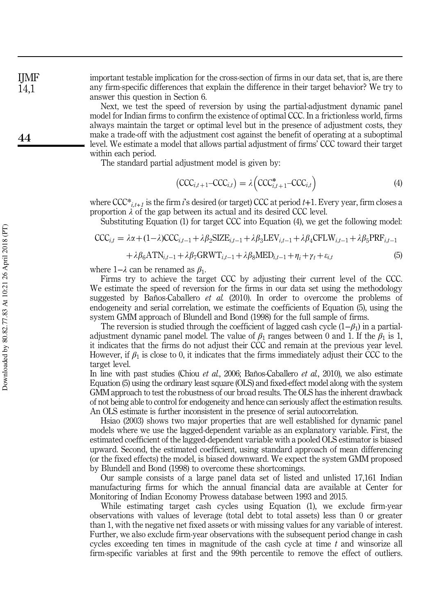important testable implication for the cross-section of firms in our data set, that is, are there any firm-specific differences that explain the difference in their target behavior? We try to answer this question in Section 6.

Next, we test the speed of reversion by using the partial-adjustment dynamic panel model for Indian firms to confirm the existence of optimal CCC. In a frictionless world, firms always maintain the target or optimal level but in the presence of adjustment costs, they make a trade-off with the adjustment cost against the benefit of operating at a suboptimal level. We estimate a model that allows partial adjustment of firms' CCC toward their target within each period.

The standard partial adjustment model is given by:

$$
\left(\text{CCC}_{i,t+1}-\text{CCC}_{i,t}\right) = \lambda \left(\text{CCC}_{i,t+1}^*-\text{CCC}_{i,t}\right) \tag{4}
$$

where  $\mathrm{CCC}^*_{i,t+1}$  is the firm i's desired (or target) CCC at period  $t+1$ . Every year, firm closes a proportion  $λ$  of the gap between its actual and its desired CCC level.

Substituting Equation (1) for target CCC into Equation (4), we get the following model:

$$
CCC_{i,t} = \lambda \alpha + (1 - \lambda)CCC_{i,t-1} + \lambda \beta_2 SIZE_{i,t-1} + \lambda \beta_3 LEVEL_{i,t-1} + \lambda \beta_4 CFLW_{i,t-1} + \lambda \beta_5 PRF_{i,t-1} + \lambda \beta_6 ATM_{i,t-1} + \lambda \beta_7 GRWT_{i,t-1} + \lambda \beta_8 MED_{i,t-1} + \eta_i + \gamma_t + \varepsilon_{i,t}
$$
\n(5)

where 1– $\lambda$  can be renamed as  $\beta_1$ . .

Firms try to achieve the target CCC by adjusting their current level of the CCC. We estimate the speed of reversion for the firms in our data set using the methodology suggested by Baños-Caballero et al. (2010). In order to overcome the problems of endogeneity and serial correlation, we estimate the coefficients of Equation (5), using the system GMM approach of Blundell and Bond (1998) for the full sample of firms.

The reversion is studied through the coefficient of lagged cash cycle  $(1-\beta_1)$  in a partialadjustment dynamic panel model. The value of  $\beta_1$  ranges between 0 and 1. If the  $\beta_1$  is 1, it indicates that the firms do not adjust their CCC and remain at the previous year level. However, if  $\beta_1$  is close to 0, it indicates that the firms immediately adjust their CCC to the target level.

In line with past studies (Chiou *et al.*, 2006; Baños-Caballero *et al.*, 2010), we also estimate Equation (5) using the ordinary least square (OLS) and fixed-effect model along with the system GMM approach to test the robustness of our broad results. The OLS has the inherent drawback of not being able to control for endogeneity and hence can seriously affect the estimation results. An OLS estimate is further inconsistent in the presence of serial autocorrelation.

Hsiao (2003) shows two major properties that are well established for dynamic panel models where we use the lagged-dependent variable as an explanatory variable. First, the estimated coefficient of the lagged-dependent variable with a pooled OLS estimator is biased upward. Second, the estimated coefficient, using standard approach of mean differencing (or the fixed effects) the model, is biased downward. We expect the system GMM proposed by Blundell and Bond (1998) to overcome these shortcomings.

Our sample consists of a large panel data set of listed and unlisted 17,161 Indian manufacturing firms for which the annual financial data are available at Center for Monitoring of Indian Economy Prowess database between 1993 and 2015.

While estimating target cash cycles using Equation (1), we exclude firm-year observations with values of leverage (total debt to total assets) less than 0 or greater than 1, with the negative net fixed assets or with missing values for any variable of interest. Further, we also exclude firm-year observations with the subsequent period change in cash cycles exceeding ten times in magnitude of the cash cycle at time  $t$  and winsorize all firm-specific variables at first and the 99th percentile to remove the effect of outliers.

IJMF 14,1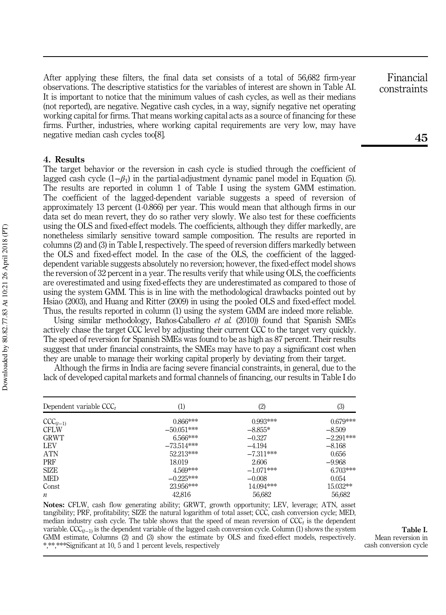After applying these filters, the final data set consists of a total of 56,682 firm-year observations. The descriptive statistics for the variables of interest are shown in Table AI. It is important to notice that the minimum values of cash cycles, as well as their medians (not reported), are negative. Negative cash cycles, in a way, signify negative net operating working capital for firms. That means working capital acts as a source of financing for these firms. Further, industries, where working capital requirements are very low, may have negative median cash cycles too[8].

#### 4. Results

The target behavior or the reversion in cash cycle is studied through the coefficient of lagged cash cycle  $(1-\beta_1)$  in the partial-adjustment dynamic panel model in Equation (5). The results are reported in column 1 of Table I using the system GMM estimation. The coefficient of the lagged-dependent variable suggests a speed of reversion of approximately 13 percent (1-0.866) per year. This would mean that although firms in our data set do mean revert, they do so rather very slowly. We also test for these coefficients using the OLS and fixed-effect models. The coefficients, although they differ markedly, are nonetheless similarly sensitive toward sample composition. The results are reported in columns (2) and (3) in Table I, respectively. The speed of reversion differs markedly between the OLS and fixed-effect model. In the case of the OLS, the coefficient of the laggeddependent variable suggests absolutely no reversion; however, the fixed-effect model shows the reversion of 32 percent in a year. The results verify that while using OLS, the coefficients are overestimated and using fixed-effects they are underestimated as compared to those of using the system GMM. This is in line with the methodological drawbacks pointed out by Hsiao (2003), and Huang and Ritter (2009) in using the pooled OLS and fixed-effect model. Thus, the results reported in column (1) using the system GMM are indeed more reliable.

Using similar methodology, Baños-Caballero et al. (2010)) found that Spanish SMEs actively chase the target CCC level by adjusting their current CCC to the target very quickly. The speed of reversion for Spanish SMEs was found to be as high as 87 percent. Their results suggest that under financial constraints, the SMEs may have to pay a significant cost when they are unable to manage their working capital properly by deviating from their target.

Although the firms in India are facing severe financial constraints, in general, due to the lack of developed capital markets and formal channels of financing, our results in Table I do

| Dependent variable $CCCt$ | (1)          | (2)         | (3)         |
|---------------------------|--------------|-------------|-------------|
| $CCC_{(t-1)}$             | $0.866***$   | $0.993***$  | $0.679***$  |
| <b>CFLW</b>               | $-50.051***$ | $-8.855*$   | $-8.509$    |
| <b>GRWT</b>               | $6.566***$   | $-0.327$    | $-2.291***$ |
| LEV                       | $-73.514***$ | $-4.194$    | $-8.168$    |
| ATN                       | 52.213***    | $-7.311***$ | 0.656       |
| PRF                       | 18.019       | 2.606       | $-9.968$    |
| <b>SIZE</b>               | 4.569***     | $-1.071***$ | $6.703***$  |
| <b>MED</b>                | $-0.225***$  | $-0.008$    | 0.054       |
| Const                     | 23.956***    | 14.094***   | 15.032**    |
| $\boldsymbol{n}$          | 42,816       | 56,682      | 56.682      |

Notes: CFLW, cash flow generating ability; GRWT, growth opportunity; LEV, leverage; ATN, asset tangibility; PRF, profitability; SIZE the natural logarithm of total asset; CCC, cash conversion cycle; MED, median industry cash cycle. The table shows that the speed of mean reversion of  $CCC<sub>t</sub>$  is the dependent variable. CCC $_{(t-1)}$  is the dependent variable of the lagged cash conversion cycle. Column (1) shows the system GMM estimate, Columns (2) and (3) show the estimate by OLS and fixed-effect models, respectively. \*,\*\*,\*\*\*Significant at 10, 5 and 1 percent levels, respectively

Table I. Mean reversion in cash conversion cycle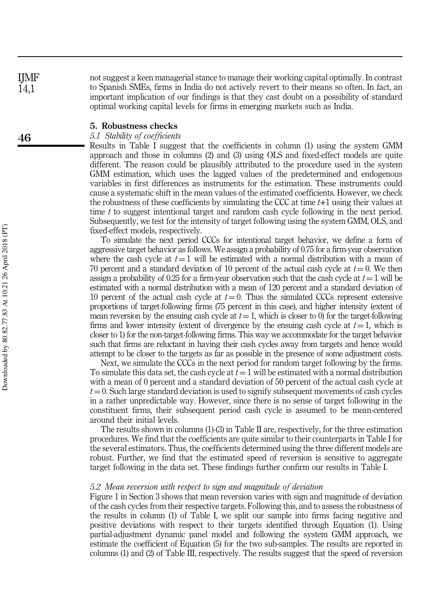not suggest a keen managerial stance to manage their working capital optimally. In contrast to Spanish SMEs, firms in India do not actively revert to their means so often. In fact, an important implication of our findings is that they cast doubt on a possibility of standard optimal working capital levels for firms in emerging markets such as India.

#### 5. Robustness checks

#### 5.1 Stability of coefficients

Results in Table I suggest that the coefficients in column (1) using the system GMM approach and those in columns (2) and (3) using OLS and fixed-effect models are quite different. The reason could be plausibly attributed to the procedure used in the system GMM estimation, which uses the lagged values of the predetermined and endogenous variables in first differences as instruments for the estimation. These instruments could cause a systematic shift in the mean values of the estimated coefficients. However, we check the robustness of these coefficients by simulating the CCC at time  $t+1$  using their values at time t to suggest intentional target and random cash cycle following in the next period. Subsequently, we test for the intensity of target following using the system GMM, OLS, and fixed-effect models, respectively.

To simulate the next period CCCs for intentional target behavior, we define a form of aggressive target behavior as follows. We assign a probability of 0.75 for a firm-year observation where the cash cycle at  $t=1$  will be estimated with a normal distribution with a mean of 70 percent and a standard deviation of 10 percent of the actual cash cycle at  $t = 0$ . We then assign a probability of 0.25 for a firm-year observation such that the cash cycle at  $t = 1$  will be estimated with a normal distribution with a mean of 120 percent and a standard deviation of 10 percent of the actual cash cycle at  $t = 0$ . Thus the simulated CCCs represent extensive proportions of target-following firms (75 percent in this case), and higher intensity (extent of mean reversion by the ensuing cash cycle at  $t=1$ , which is closer to 0) for the target-following firms and lower intensity (extent of divergence by the ensuing cash cycle at  $t=1$ , which is closer to 1) for the non-target-following firms. This way we accommodate for the target behavior such that firms are reluctant in having their cash cycles away from targets and hence would attempt to be closer to the targets as far as possible in the presence of some adjustment costs.

Next, we simulate the CCCs in the next period for random target following by the firms. To simulate this data set, the cash cycle at  $t = 1$  will be estimated with a normal distribution with a mean of 0 percent and a standard deviation of 50 percent of the actual cash cycle at  $t = 0$ . Such large standard deviation is used to signify subsequent movements of cash cycles in a rather unpredictable way. However, since there is no sense of target following in the constituent firms, their subsequent period cash cycle is assumed to be mean-centered around their initial levels.

The results shown in columns (1)-(3) in Table II are, respectively, for the three estimation procedures. We find that the coefficients are quite similar to their counterparts in Table I for the several estimators. Thus, the coefficients determined using the three different models are robust. Further, we find that the estimated speed of reversion is sensitive to aggregate target following in the data set. These findings further confirm our results in Table I.

#### 5.2 Mean reversion with respect to sign and magnitude of deviation

Figure 1 in Section 3 shows that mean reversion varies with sign and magnitude of deviation of the cash cycles from their respective targets. Following this, and to assess the robustness of the results in column (1) of Table I, we split our sample into firms facing negative and positive deviations with respect to their targets identified through Equation (1). Using partial-adjustment dynamic panel model and following the system GMM approach, we estimate the coefficient of Equation (5) for the two sub-samples. The results are reported in columns (1) and (2) of Table III, respectively. The results suggest that the speed of reversion

IJMF 14,1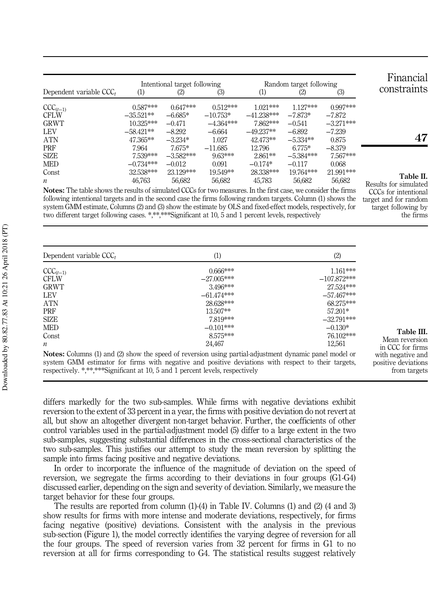|                            |                  | Intentional target following |             |              | Random target following |             | Financial             |
|----------------------------|------------------|------------------------------|-------------|--------------|-------------------------|-------------|-----------------------|
| Dependent variable $CCC_t$ | $\left(1\right)$ | (2)                          | (3)         | (1)          | (2)                     | (3)         | constraints           |
| $CCC_{(t-1)}$              | $0.587***$       | $0.647***$                   | $0.512***$  | $1021***$    | $1.127***$              | $0.997***$  |                       |
| <b>CFLW</b>                | $-35.521**$      | $-6.685*$                    | $-10.753*$  | $-41.238***$ | $-7.873*$               | $-7.872$    |                       |
| <b>GRWT</b>                | $10.325***$      | $-0.471$                     | $-4.364***$ | 7.862***     | $-0.541$                | $-3.271***$ |                       |
| LEV                        | $-58.421**$      | $-8.292$                     | $-6.664$    | $-49.237**$  | $-6.892$                | $-7.239$    |                       |
| <b>ATN</b>                 | 47.365**         | $-3.234*$                    | 1.027       | 42.473**     | $-5.334**$              | 0.875       | 47                    |
| PRF                        | 7.964            | 7675*                        | $-11.685$   | 12.796       | $6.775*$                | $-8.379$    |                       |
| <b>SIZE</b>                | 7.539***         | $-3.582***$                  | 9.63***     | 2.861**      | $-5.384***$             | 7.567***    |                       |
| <b>MED</b>                 | $-0.734***$      | $-0.012$                     | 0.091       | $-0.174*$    | $-0.117$                | 0.068       |                       |
| Const                      | 32.538***        | 23.129***                    | 19.549**    | 28.338***    | 19.764***               | 21.991***   | Table II.             |
| $\boldsymbol{n}$           | 46,763           | 56,682                       | 56,682      | 45,783       | 56,682                  | 56,682      | Results for simulated |

Notes: The table shows the results of simulated CCCs for two measures. In the first case, we consider the firms following intentional targets and in the second case the firms following random targets. Column (1) shows the system GMM estimate, Columns (2) and (3) show the estimate by OLS and fixed-effect models, respectively, for two different target following cases. \*,\*\*,\*\*\*Significant at 10, 5 and 1 percent levels, respectively

Results for simulated CCCs for intentional target and for random target following by the firms

> > from targets

| Dependent variable CCC <sub>t</sub> | $\scriptstyle{(1)}$                                                                                                                                                                                                  | (2)           |                                                              |
|-------------------------------------|----------------------------------------------------------------------------------------------------------------------------------------------------------------------------------------------------------------------|---------------|--------------------------------------------------------------|
| $CCC_{(t-1)}$                       | $0.666***$                                                                                                                                                                                                           | $1.161***$    |                                                              |
| CFLW                                | $-27.005***$                                                                                                                                                                                                         | $-107.872***$ |                                                              |
| GRWT                                | $3496***$                                                                                                                                                                                                            | 27.524***     |                                                              |
| LEV                                 | $-61.474***$                                                                                                                                                                                                         | $-57.467***$  |                                                              |
| ATN                                 | 28.628***                                                                                                                                                                                                            | 68.275***     |                                                              |
| PRF                                 | 13.507**                                                                                                                                                                                                             | 57.201*       |                                                              |
| SIZE                                | 7819***                                                                                                                                                                                                              | $-32.791***$  | Table III.                                                   |
| MED                                 | $-0.101***$                                                                                                                                                                                                          | $-0.130*$     |                                                              |
| Const                               | 8.575***                                                                                                                                                                                                             | 76.102***     | Mean reversion                                               |
| n                                   | 24.467                                                                                                                                                                                                               | 12,561        |                                                              |
|                                     | <b>Notes:</b> Columns (1) and (2) show the speed of reversion using partial-adjustment dynamic panel model or<br>system GMM estimator for firms with negative and positive deviations with respect to their targets, |               | in CCC for firms<br>with negative and<br>positive deviations |

respectively. \*,\*\*,\*\*\*Significant at 10, 5 and 1 percent levels, respectively

differs markedly for the two sub-samples. While firms with negative deviations exhibit reversion to the extent of 33 percent in a year, the firms with positive deviation do not revert at all, but show an altogether divergent non-target behavior. Further, the coefficients of other control variables used in the partial-adjustment model (5) differ to a large extent in the two sub-samples, suggesting substantial differences in the cross-sectional characteristics of the two sub-samples. This justifies our attempt to study the mean reversion by splitting the sample into firms facing positive and negative deviations.

In order to incorporate the influence of the magnitude of deviation on the speed of reversion, we segregate the firms according to their deviations in four groups (G1-G4) discussed earlier, depending on the sign and severity of deviation. Similarly, we measure the target behavior for these four groups.

The results are reported from column (1)-(4) in Table IV. Columns (1) and (2) (4 and 3) show results for firms with more intense and moderate deviations, respectively, for firms facing negative (positive) deviations. Consistent with the analysis in the previous sub-section (Figure 1), the model correctly identifies the varying degree of reversion for all the four groups. The speed of reversion varies from 32 percent for firms in G1 to no reversion at all for firms corresponding to G4. The statistical results suggest relatively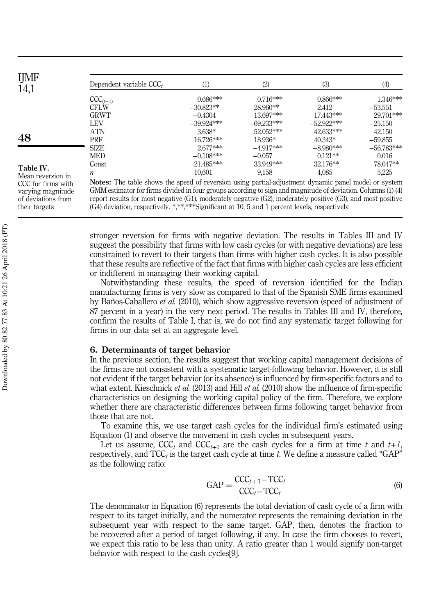| IJMF<br>14,1                   | Dependent variable $CCC_t$                                                                                            | (1)          | (2)          | (3)          | (4)          |  |
|--------------------------------|-----------------------------------------------------------------------------------------------------------------------|--------------|--------------|--------------|--------------|--|
|                                | $CCC_{(t-1)}$                                                                                                         | $0.686***$   | $0.716***$   | $0.866***$   | 1.346***     |  |
|                                | CFLW                                                                                                                  | $-30.823**$  | 28.960**     | 2.412        | $-53.551$    |  |
|                                | <b>GRWT</b>                                                                                                           | $-0.4304$    | 13.697***    | 17.443***    | 29.701***    |  |
|                                | <b>LEV</b>                                                                                                            | $-39.924***$ | $-69.233***$ | $-52.922***$ | $-25.150$    |  |
| 48                             | <b>ATN</b>                                                                                                            | $3.638*$     | 52.052***    | 42.633***    | 42.150       |  |
|                                | <b>PRF</b>                                                                                                            | 16.726***    | 18.936*      | $40.343*$    | $-59.855$    |  |
|                                | SIZE                                                                                                                  | 2.677***     | $-4.917***$  | $-8.980***$  | $-56.783***$ |  |
|                                | <b>MED</b>                                                                                                            | $-0.108***$  | $-0.057$     | $0.121**$    | 0.016        |  |
|                                | Const                                                                                                                 | 21.485***    | 33.949***    | 32.176**     | 78.047**     |  |
| Table IV.<br>Mean reversion in | $\boldsymbol{n}$                                                                                                      | 10.601       | 9.158        | 4.085        | 5,225        |  |
| CCC for firms with             | <b>Notes:</b> The table shows the speed of reversion using partial-adjustment dynamic panel model or system           |              |              |              |              |  |
| varying magnitude              | GMM estimator for firms divided in four groups according to sign and magnitude of deviation. Columns (1)-(4)          |              |              |              |              |  |
| of deviations from             | report results for most negative $(G1)$ , moderately negative $(G2)$ , moderately positive $(G3)$ , and most positive |              |              |              |              |  |
| their targets                  | (G4) deviation, respectively. *,**,***Significant at 10, 5 and 1 percent levels, respectively                         |              |              |              |              |  |

stronger reversion for firms with negative deviation. The results in Tables III and IV suggest the possibility that firms with low cash cycles (or with negative deviations) are less constrained to revert to their targets than firms with higher cash cycles. It is also possible that these results are reflective of the fact that firms with higher cash cycles are less efficient or indifferent in managing their working capital.

Notwithstanding these results, the speed of reversion identified for the Indian manufacturing firms is very slow as compared to that of the Spanish SME firms examined by Baños-Caballero et al. (2010), which show aggressive reversion (speed of adjustment of 87 percent in a year) in the very next period. The results in Tables III and IV, therefore, confirm the results of Table I, that is, we do not find any systematic target following for firms in our data set at an aggregate level.

#### 6. Determinants of target behavior

In the previous section, the results suggest that working capital management decisions of the firms are not consistent with a systematic target-following behavior. However, it is still not evident if the target behavior (or its absence) is influenced by firm-specific factors and to what extent. Kieschnick *et al.* (2013) and Hill *et al.* (2010) show the influence of firm-specific characteristics on designing the working capital policy of the firm. Therefore, we explore whether there are characteristic differences between firms following target behavior from those that are not.

To examine this, we use target cash cycles for the individual firm's estimated using Equation (1) and observe the movement in cash cycles in subsequent years.

Let us assume,  $CCC_t$  and  $CCC_{t+1}$  are the cash cycles for a firm at time t and  $t+1$ , respectively, and TCC<sub>t</sub> is the target cash cycle at time t. We define a measure called "GAP" as the following ratio:

$$
GAP = \frac{CCC_{t+1} - TCC_t}{CCC_t - TCC_t}
$$
\n(6)

The denominator in Equation (6) represents the total deviation of cash cycle of a firm with respect to its target initially, and the numerator represents the remaining deviation in the subsequent year with respect to the same target. GAP, then, denotes the fraction to be recovered after a period of target following, if any. In case the firm chooses to revert, we expect this ratio to be less than unity. A ratio greater than 1 would signify non-target behavior with respect to the cash cycles[9].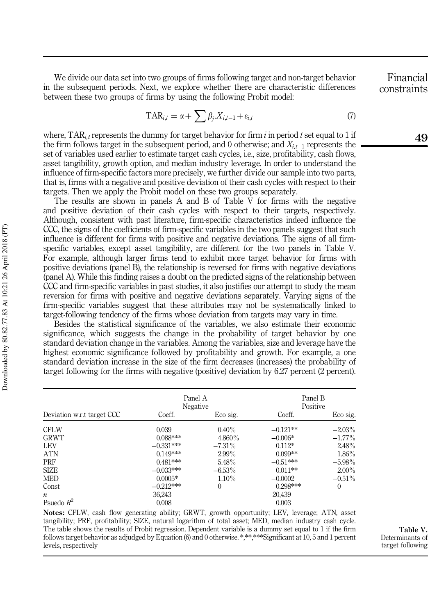We divide our data set into two groups of firms following target and non-target behavior in the subsequent periods. Next, we explore whether there are characteristic differences between these two groups of firms by using the following Probit model:

$$
TAR_{i,t} = \alpha + \sum \beta_j X_{i,t-1} + \varepsilon_{i,t}
$$
\n(

where,  $TAR_i$  represents the dummy for target behavior for firm i in period t set equal to 1 if the firm follows target in the subsequent period, and 0 otherwise; and  $X_{i,t-1}$  represents the set of variables used earlier to estimate target cash cycles, i.e., size, profitability, cash flows, asset tangibility, growth option, and median industry leverage. In order to understand the influence of firm-specific factors more precisely, we further divide our sample into two parts, that is, firms with a negative and positive deviation of their cash cycles with respect to their targets. Then we apply the Probit model on these two groups separately.

The results are shown in panels A and B of Table V for firms with the negative and positive deviation of their cash cycles with respect to their targets, respectively. Although, consistent with past literature, firm-specific characteristics indeed influence the CCC, the signs of the coefficients of firm-specific variables in the two panels suggest that such influence is different for firms with positive and negative deviations. The signs of all firmspecific variables, except asset tangibility, are different for the two panels in Table V. For example, although larger firms tend to exhibit more target behavior for firms with positive deviations (panel B), the relationship is reversed for firms with negative deviations (panel A). While this finding raises a doubt on the predicted signs of the relationship between CCC and firm-specific variables in past studies, it also justifies our attempt to study the mean reversion for firms with positive and negative deviations separately. Varying signs of the firm-specific variables suggest that these attributes may not be systematically linked to target-following tendency of the firms whose deviation from targets may vary in time.

Besides the statistical significance of the variables, we also estimate their economic significance, which suggests the change in the probability of target behavior by one standard deviation change in the variables. Among the variables, size and leverage have the highest economic significance followed by profitability and growth. For example, a one standard deviation increase in the size of the firm decreases (increases) the probability of target following for the firms with negative (positive) deviation by 6.27 percent (2 percent).

|                            | Panel A<br>Negative |              | Panel B<br>Positive |           |  |
|----------------------------|---------------------|--------------|---------------------|-----------|--|
| Deviation w.r.t target CCC | Coeff.              | Eco sig.     | Coeff.              | Eco sig.  |  |
| <b>CFLW</b>                | 0.039               | $0.40\%$     | $-0.121**$          | $-2.03\%$ |  |
| <b>GRWT</b>                | $0.088***$          | 4.860%       | $-0.006*$           | $-1.77\%$ |  |
| <b>LEV</b>                 | $-0.331***$         | $-7.31\%$    | $0.112*$            | 2.48%     |  |
| <b>ATN</b>                 | $0.149***$          | $2.99\%$     | $0.099**$           | $1.86\%$  |  |
| PRF                        | $0.481***$          | 5.48%        | $-0.51***$          | $-5.98\%$ |  |
| <b>SIZE</b>                | $-0.033***$         | $-6.53\%$    | $0.011**$           | $2.00\%$  |  |
| <b>MED</b>                 | $0.0005*$           | $1.10\%$     | $-0.0002$           | $-0.51\%$ |  |
| Const                      | $-0.212***$         | $\mathbf{0}$ | $0.298***$          | 0         |  |
| $\boldsymbol{n}$           | 36,243              |              | 20,439              |           |  |
| Psuedo $R^2$               | 0.008               |              | 0.003               |           |  |

Notes: CFLW, cash flow generating ability; GRWT, growth opportunity; LEV, leverage; ATN, asset tangibility; PRF, profitability; SIZE, natural logarithm of total asset; MED, median industry cash cycle. The table shows the results of Probit regression. Dependent variable is a dummy set equal to 1 if the firm follows target behavior as adjudged by Equation (6) and 0 otherwise. \*,\*\*,\*\*\*Significant at 10, 5 and 1 percent levels, respectively

Table V. Determinants of target following

49

(7)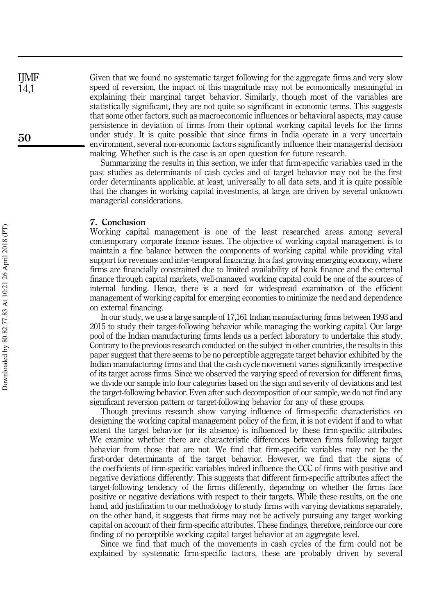Given that we found no systematic target following for the aggregate firms and very slow speed of reversion, the impact of this magnitude may not be economically meaningful in explaining their marginal target behavior. Similarly, though most of the variables are statistically significant, they are not quite so significant in economic terms. This suggests that some other factors, such as macroeconomic influences or behavioral aspects, may cause persistence in deviation of firms from their optimal working capital levels for the firms under study. It is quite possible that since firms in India operate in a very uncertain environment, several non-economic factors significantly influence their managerial decision making. Whether such is the case is an open question for future research.

Summarizing the results in this section, we infer that firm-specific variables used in the past studies as determinants of cash cycles and of target behavior may not be the first order determinants applicable, at least, universally to all data sets, and it is quite possible that the changes in working capital investments, at large, are driven by several unknown managerial considerations.

#### 7. Conclusion

Working capital management is one of the least researched areas among several contemporary corporate finance issues. The objective of working capital management is to maintain a fine balance between the components of working capital while providing vital support for revenues and inter-temporal financing. In a fast growing emerging economy, where firms are financially constrained due to limited availability of bank finance and the external finance through capital markets, well-managed working capital could be one of the sources of internal funding. Hence, there is a need for widespread examination of the efficient management of working capital for emerging economies to minimize the need and dependence on external financing.

In our study, we use a large sample of 17,161 Indian manufacturing firms between 1993 and 2015 to study their target-following behavior while managing the working capital. Our large pool of the Indian manufacturing firms lends us a perfect laboratory to undertake this study. Contrary to the previous research conducted on the subject in other countries, the results in this paper suggest that there seems to be no perceptible aggregate target behavior exhibited by the Indian manufacturing firms and that the cash cycle movement varies significantly irrespective of its target across firms. Since we observed the varying speed of reversion for different firms, we divide our sample into four categories based on the sign and severity of deviations and test the target-following behavior. Even after such decomposition of our sample, we do not find any significant reversion pattern or target-following behavior for any of these groups.

Though previous research show varying influence of firm-specific characteristics on designing the working capital management policy of the firm, it is not evident if and to what extent the target behavior (or its absence) is influenced by these firm-specific attributes. We examine whether there are characteristic differences between firms following target behavior from those that are not. We find that firm-specific variables may not be the first-order determinants of the target behavior. However, we find that the signs of the coefficients of firm-specific variables indeed influence the CCC of firms with positive and negative deviations differently. This suggests that different firm-specific attributes affect the target-following tendency of the firms differently, depending on whether the firms face positive or negative deviations with respect to their targets. While these results, on the one hand, add justification to our methodology to study firms with varying deviations separately, on the other hand, it suggests that firms may not be actively pursuing any target working capital on account of their firm-specific attributes. These findings, therefore, reinforce our core finding of no perceptible working capital target behavior at an aggregate level.

Since we find that much of the movements in cash cycles of the firm could not be explained by systematic firm-specific factors, these are probably driven by several

IJMF 14,1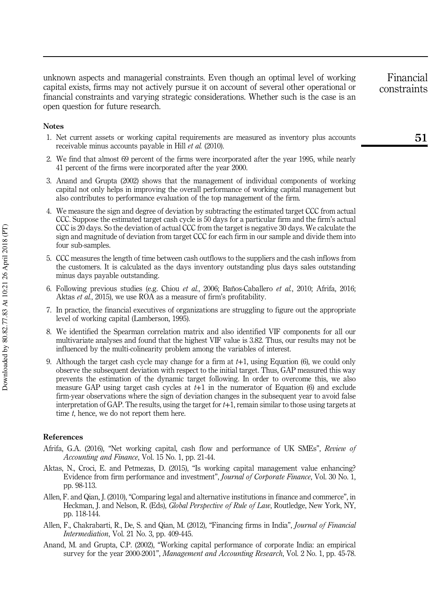unknown aspects and managerial constraints. Even though an optimal level of working capital exists, firms may not actively pursue it on account of several other operational or financial constraints and varying strategic considerations. Whether such is the case is an open question for future research.

### Financial constraints

#### Notes

- 1. Net current assets or working capital requirements are measured as inventory plus accounts receivable minus accounts payable in Hill et al. (2010).
- 2. We find that almost 69 percent of the firms were incorporated after the year 1995, while nearly 41 percent of the firms were incorporated after the year 2000.
- 3. Anand and Grupta (2002) shows that the management of individual components of working capital not only helps in improving the overall performance of working capital management but also contributes to performance evaluation of the top management of the firm.
- 4. We measure the sign and degree of deviation by subtracting the estimated target CCC from actual CCC. Suppose the estimated target cash cycle is 50 days for a particular firm and the firm's actual CCC is 20 days. So the deviation of actual CCC from the target is negative 30 days. We calculate the sign and magnitude of deviation from target CCC for each firm in our sample and divide them into four sub-samples.
- 5. CCC measures the length of time between cash outflows to the suppliers and the cash inflows from the customers. It is calculated as the days inventory outstanding plus days sales outstanding minus days payable outstanding.
- 6. Following previous studies (e.g. Chiou et al., 2006; Baños-Caballero et al., 2010; Afrifa, 2016; Aktas *et al.*, 2015), we use ROA as a measure of firm's profitability.
- 7. In practice, the financial executives of organizations are struggling to figure out the appropriate level of working capital (Lamberson, 1995).
- 8. We identified the Spearman correlation matrix and also identified VIF components for all our multivariate analyses and found that the highest VIF value is 3.82. Thus, our results may not be influenced by the multi-colinearity problem among the variables of interest.
- 9. Although the target cash cycle may change for a firm at  $t+1$ , using Equation (6), we could only observe the subsequent deviation with respect to the initial target. Thus, GAP measured this way prevents the estimation of the dynamic target following. In order to overcome this, we also measure GAP using target cash cycles at  $t+1$  in the numerator of Equation (6) and exclude firm-year observations where the sign of deviation changes in the subsequent year to avoid false interpretation of GAP. The results, using the target for  $t+1$ , remain similar to those using targets at time  $t$ , hence, we do not report them here.

#### References

- Afrifa, G.A. (2016), "Net working capital, cash flow and performance of UK SMEs", Review of Accounting and Finance, Vol. 15 No. 1, pp. 21-44.
- Aktas, N., Croci, E. and Petmezas, D. (2015), "Is working capital management value enhancing? Evidence from firm performance and investment", Journal of Corporate Finance, Vol. 30 No. 1, pp. 98-113.
- Allen, F. and Qian, J. (2010), "Comparing legal and alternative institutions in finance and commerce", in Heckman, J. and Nelson, R. (Eds), Global Perspective of Rule of Law, Routledge, New York, NY, pp. 118-144.
- Allen, F., Chakrabarti, R., De, S. and Qian, M. (2012), "Financing firms in India", Journal of Financial Intermediation, Vol. 21 No. 3, pp. 409-445.
- Anand, M. and Grupta, C.P. (2002), "Working capital performance of corporate India: an empirical survey for the year 2000-2001", Management and Accounting Research, Vol. 2 No. 1, pp. 45-78.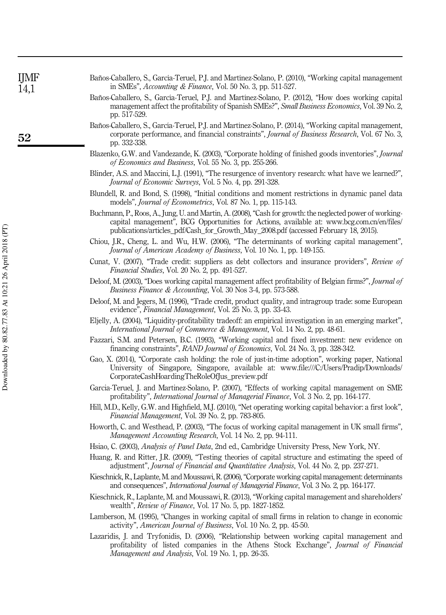| IJMF<br>14,1 | Baños-Caballero, S., García-Teruel, P.J. and Martínez-Solano, P. (2010), "Working capital management<br>in SMEs", <i>Accounting &amp; Finance</i> , Vol. 50 No. 3, pp. 511-527.                                                                                                                 |
|--------------|-------------------------------------------------------------------------------------------------------------------------------------------------------------------------------------------------------------------------------------------------------------------------------------------------|
|              | Baños-Caballero, S., García-Teruel, P.J. and Martínez-Solano, P. (2012), "How does working capital<br>management affect the profitability of Spanish SMEs?", Small Business Economics, Vol. 39 No. 2,<br>pp. 517-529.                                                                           |
| 52           | Baños-Caballero, S., García-Teruel, P.J. and Martínez-Solano, P. (2014), "Working capital management,<br>corporate performance, and financial constraints", Journal of Business Research, Vol. 67 No. 3,<br>pp. 332-338.                                                                        |
|              | Blazenko, G.W. and Vandezande, K. (2003), "Corporate holding of finished goods inventories", Journal<br>of Economics and Business, Vol. 55 No. 3, pp. 255-266.                                                                                                                                  |
|              | Blinder, A.S. and Maccini, L.J. (1991), "The resurgence of inventory research: what have we learned?",<br>Journal of Economic Surveys, Vol. 5 No. 4, pp. 291-328.                                                                                                                               |
|              | Blundell, R. and Bond, S. (1998), "Initial conditions and moment restrictions in dynamic panel data<br>models", <i>Journal of Econometrics</i> , Vol. 87 No. 1, pp. 115-143.                                                                                                                    |
|              | Buchmann, P., Roos, A., Jung, U. and Martin, A. (2008), "Cash for growth: the neglected power of working-<br>capital management", BCG Opportunities for Actions, available at: www.bcg.com.cn/en/files/<br>publications/articles_pdf/Cash_for_Growth_May_2008.pdf (accessed February 18, 2015). |
|              | Chiou, J.R., Cheng, L. and Wu, H.W. (2006), "The determinants of working capital management",<br>Journal of American Academy of Business, Vol. 10 No. 1, pp. 149-155.                                                                                                                           |
|              | Cunat, V. (2007), "Trade credit: suppliers as debt collectors and insurance providers", Review of<br>Financial Studies, Vol. 20 No. 2, pp. 491-527.                                                                                                                                             |
|              | Deloof, M. (2003), "Does working capital management affect profitability of Belgian firms?", <i>Journal of</i><br>Business Finance & Accounting, Vol. 30 Nos 3-4, pp. 573-588.                                                                                                                  |
|              | Deloof, M. and Jegers, M. (1996), "Trade credit, product quality, and intragroup trade: some European<br>evidence", Financial Management, Vol. 25 No. 3, pp. 33-43.                                                                                                                             |
|              | Eljelly, A. (2004), "Liquidity-profitability tradeoff: an empirical investigation in an emerging market",<br>International Journal of Commerce & Management, Vol. 14 No. 2, pp. 48-61.                                                                                                          |
|              | Fazzari, S.M. and Petersen, B.C. (1993), "Working capital and fixed investment: new evidence on<br>financing constraints", <i>RAND Journal of Economics</i> , Vol. 24 No. 3, pp. 328-342.                                                                                                       |
|              | Gao, X. (2014), "Corporate cash holding: the role of just-in-time adoption", working paper, National<br>University of Singapore, Singapore, available at: www.file:///C:/Users/Pradip/Downloads/<br>CorporateCashHoardingTheRoleOfJus_preview.pdf                                               |
|              | Garcia-Teruel, J. and Martinez-Solano, P. (2007), "Effects of working capital management on SME<br>profitability", International Journal of Managerial Finance, Vol. 3 No. 2, pp. 164-177.                                                                                                      |
|              | Hill, M.D., Kelly, G.W. and Highfield, M.J. (2010), "Net operating working capital behavior: a first look",<br>Financial Management, Vol. 39 No. 2, pp. 783-805.                                                                                                                                |
|              | Howorth, C. and Westhead, P. (2003), "The focus of working capital management in UK small firms",<br>Management Accounting Research, Vol. 14 No. 2, pp. 94-111.                                                                                                                                 |
|              | Hsiao, C. (2003), Analysis of Panel Data, 2nd ed., Cambridge University Press, New York, NY.                                                                                                                                                                                                    |
|              | Huang, R. and Ritter, J.R. (2009), "Testing theories of capital structure and estimating the speed of<br>adjustment", Journal of Financial and Quantitative Analysis, Vol. 44 No. 2, pp. 237-271.                                                                                               |
|              | Kieschnick, R., Laplante, M. and Moussawi, R. (2006), "Corporate working capital management: determinants<br>and consequences", International Journal of Managerial Finance, Vol. 3 No. 2, pp. 164-177.                                                                                         |
|              | Kieschnick, R., Laplante, M. and Moussawi, R. (2013), "Working capital management and shareholders'<br>wealth", Review of Finance, Vol. 17 No. 5, pp. 1827-1852.                                                                                                                                |
|              | Lamberson, M. (1995), "Changes in working capital of small firms in relation to change in economic<br>activity", American Journal of Business, Vol. 10 No. 2, pp. 45-50.                                                                                                                        |
|              | Lazaridis, J. and Tryfonidis, D. (2006), "Relationship between working capital management and<br>profitability of listed companies in the Athens Stock Exchange", Journal of Financial<br>Management and Analysis, Vol. 19 No. 1, pp. 26-35.                                                    |
|              |                                                                                                                                                                                                                                                                                                 |

Downloaded by 80.82.77.83 At 10:21 26 April 2018 (PT) Downloaded by 80.82.77.83 At 10:21 26 April 2018 (PT)